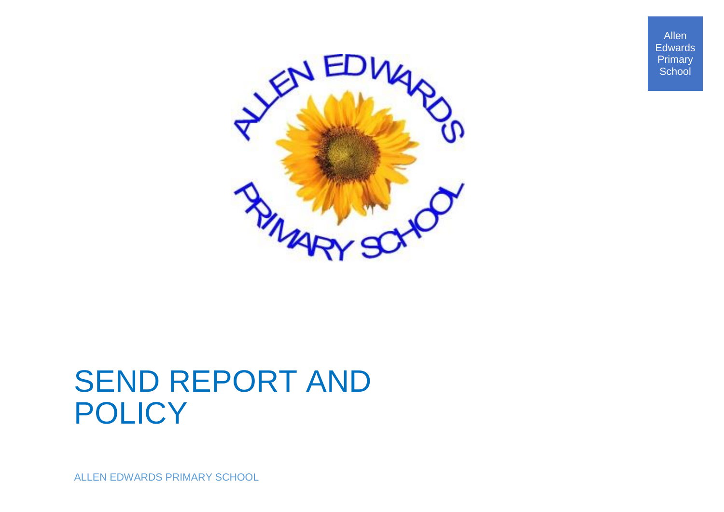Allen **Edwards** Primary **School** 



# SEND REPORT AND **POLICY**

ALLEN EDWARDS PRIMARY SCHOOL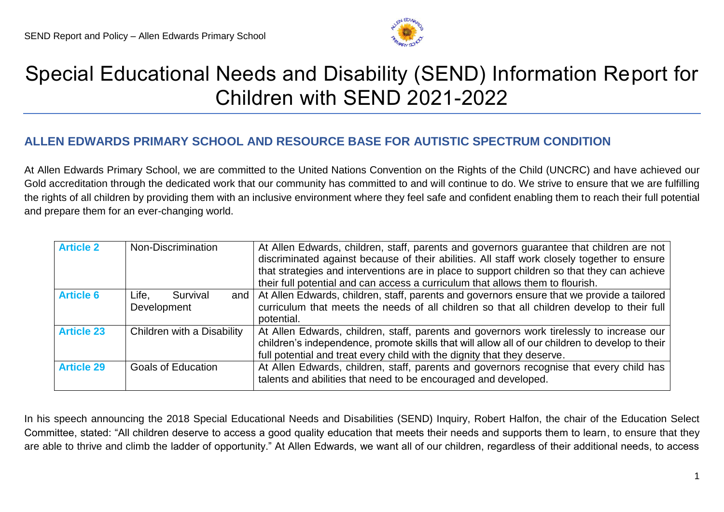

# Special Educational Needs and Disability (SEND) Information Report for Children with SEND 2021-2022

# **ALLEN EDWARDS PRIMARY SCHOOL AND RESOURCE BASE FOR AUTISTIC SPECTRUM CONDITION**

At Allen Edwards Primary School, we are committed to the United Nations Convention on the Rights of the Child (UNCRC) and have achieved our Gold accreditation through the dedicated work that our community has committed to and will continue to do. We strive to ensure that we are fulfilling the rights of all children by providing them with an inclusive environment where they feel safe and confident enabling them to reach their full potential and prepare them for an ever-changing world.

| <b>Article 2</b>  | Non-Discrimination                              | At Allen Edwards, children, staff, parents and governors guarantee that children are not<br>discriminated against because of their abilities. All staff work closely together to ensure<br>that strategies and interventions are in place to support children so that they can achieve<br>their full potential and can access a curriculum that allows them to flourish. |
|-------------------|-------------------------------------------------|--------------------------------------------------------------------------------------------------------------------------------------------------------------------------------------------------------------------------------------------------------------------------------------------------------------------------------------------------------------------------|
| <b>Article 6</b>  | Survival<br>Life.<br>and $\vert$<br>Development | At Allen Edwards, children, staff, parents and governors ensure that we provide a tailored<br>curriculum that meets the needs of all children so that all children develop to their full<br>potential.                                                                                                                                                                   |
| <b>Article 23</b> | Children with a Disability                      | At Allen Edwards, children, staff, parents and governors work tirelessly to increase our<br>children's independence, promote skills that will allow all of our children to develop to their<br>full potential and treat every child with the dignity that they deserve.                                                                                                  |
| <b>Article 29</b> | <b>Goals of Education</b>                       | At Allen Edwards, children, staff, parents and governors recognise that every child has<br>talents and abilities that need to be encouraged and developed.                                                                                                                                                                                                               |

In his speech announcing the 2018 Special Educational Needs and Disabilities (SEND) Inquiry, Robert Halfon, the chair of the Education Select Committee, stated: "All children deserve to access a good quality education that meets their needs and supports them to learn, to ensure that they are able to thrive and climb the ladder of opportunity." At Allen Edwards, we want all of our children, regardless of their additional needs, to access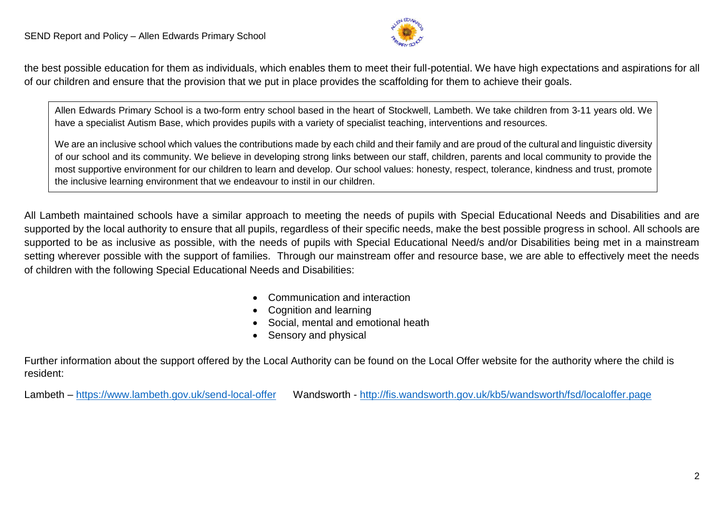

the best possible education for them as individuals, which enables them to meet their full-potential. We have high expectations and aspirations for all of our children and ensure that the provision that we put in place provides the scaffolding for them to achieve their goals.

Allen Edwards Primary School is a two-form entry school based in the heart of Stockwell, Lambeth. We take children from 3-11 years old. We have a specialist Autism Base, which provides pupils with a variety of specialist teaching, interventions and resources.

We are an inclusive school which values the contributions made by each child and their family and are proud of the cultural and linguistic diversity of our school and its community. We believe in developing strong links between our staff, children, parents and local community to provide the most supportive environment for our children to learn and develop. Our school values: honesty, respect, tolerance, kindness and trust, promote the inclusive learning environment that we endeavour to instil in our children.

All Lambeth maintained schools have a similar approach to meeting the needs of pupils with Special Educational Needs and Disabilities and are supported by the local authority to ensure that all pupils, regardless of their specific needs, make the best possible progress in school. All schools are supported to be as inclusive as possible, with the needs of pupils with Special Educational Need/s and/or Disabilities being met in a mainstream setting wherever possible with the support of families. Through our mainstream offer and resource base, we are able to effectively meet the needs of children with the following Special Educational Needs and Disabilities:

- Communication and interaction
- Cognition and learning
- Social, mental and emotional heath
- Sensory and physical

Further information about the support offered by the Local Authority can be found on the Local Offer website for the authority where the child is resident:

Lambeth – <https://www.lambeth.gov.uk/send-local-offer>Wandsworth - <http://fis.wandsworth.gov.uk/kb5/wandsworth/fsd/localoffer.page>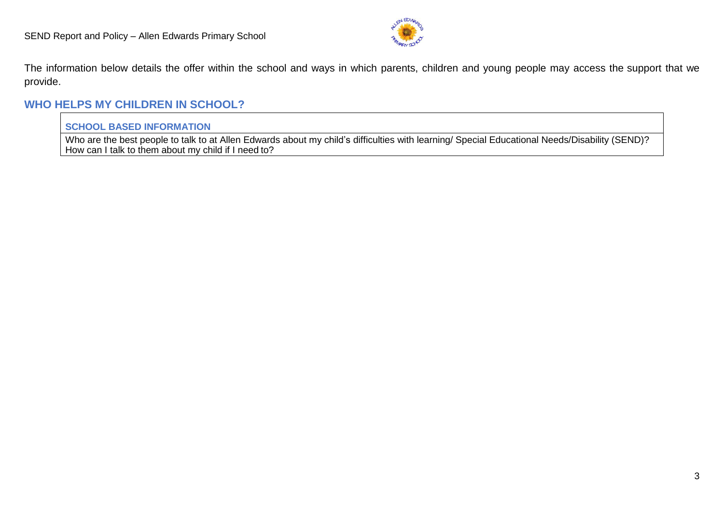

The information below details the offer within the school and ways in which parents, children and young people may access the support that we provide.

## **WHO HELPS MY CHILDREN IN SCHOOL?**

#### **SCHOOL BASED INFORMATION**

Who are the best people to talk to at Allen Edwards about my child's difficulties with learning/ Special Educational Needs/Disability (SEND)? How can I talk to them about my child if I need to?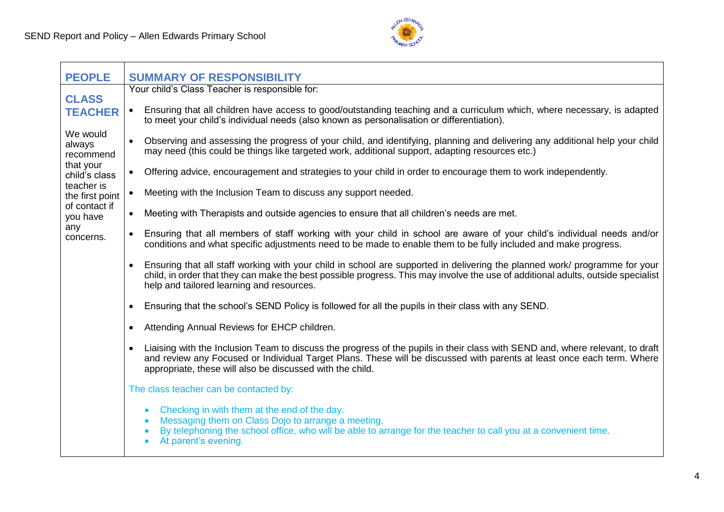

| <b>PEOPLE</b>                   | <b>SUMMARY OF RESPONSIBILITY</b>                                                                                                                                                                                                                                                                                         |
|---------------------------------|--------------------------------------------------------------------------------------------------------------------------------------------------------------------------------------------------------------------------------------------------------------------------------------------------------------------------|
| <b>CLASS</b>                    | Your child's Class Teacher is responsible for:                                                                                                                                                                                                                                                                           |
| <b>TEACHER</b>                  | Ensuring that all children have access to good/outstanding teaching and a curriculum which, where necessary, is adapted<br>$\bullet$<br>to meet your child's individual needs (also known as personalisation or differentiation).                                                                                        |
| We would<br>always<br>recommend | Observing and assessing the progress of your child, and identifying, planning and delivering any additional help your child<br>may need (this could be things like targeted work, additional support, adapting resources etc.)                                                                                           |
| that your<br>child's class      | Offering advice, encouragement and strategies to your child in order to encourage them to work independently.<br>$\bullet$                                                                                                                                                                                               |
| teacher is<br>the first point   | Meeting with the Inclusion Team to discuss any support needed.<br>$\bullet$                                                                                                                                                                                                                                              |
| of contact if<br>you have       | Meeting with Therapists and outside agencies to ensure that all children's needs are met.<br>$\bullet$                                                                                                                                                                                                                   |
| any<br>concerns.                | Ensuring that all members of staff working with your child in school are aware of your child's individual needs and/or<br>conditions and what specific adjustments need to be made to enable them to be fully included and make progress.                                                                                |
|                                 | Ensuring that all staff working with your child in school are supported in delivering the planned work/ programme for your<br>$\bullet$<br>child, in order that they can make the best possible progress. This may involve the use of additional adults, outside specialist<br>help and tailored learning and resources. |
|                                 | Ensuring that the school's SEND Policy is followed for all the pupils in their class with any SEND.                                                                                                                                                                                                                      |
|                                 | Attending Annual Reviews for EHCP children.<br>٠                                                                                                                                                                                                                                                                         |
|                                 | Liaising with the Inclusion Team to discuss the progress of the pupils in their class with SEND and, where relevant, to draft<br>and review any Focused or Individual Target Plans. These will be discussed with parents at least once each term. Where<br>appropriate, these will also be discussed with the child.     |
|                                 | The class teacher can be contacted by:                                                                                                                                                                                                                                                                                   |
|                                 | Checking in with them at the end of the day.<br>Messaging them on Class Dojo to arrange a meeting.<br>By telephoning the school office, who will be able to arrange for the teacher to call you at a convenient time.<br>At parent's evening.                                                                            |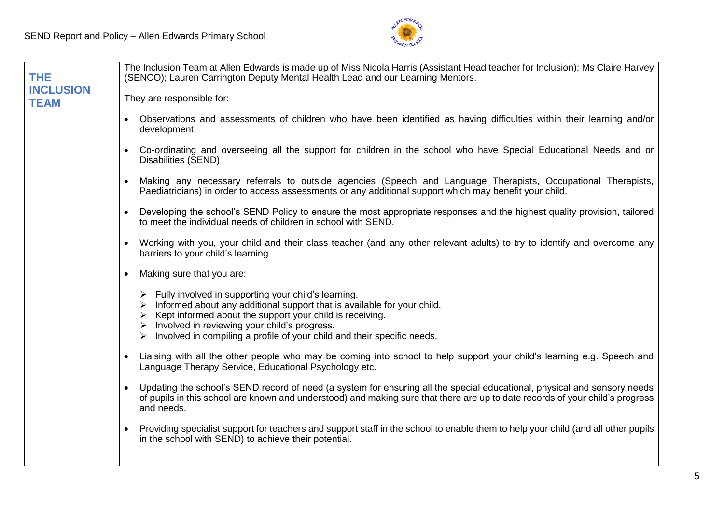

| <b>THE</b>                      | The Inclusion Team at Allen Edwards is made up of Miss Nicola Harris (Assistant Head teacher for Inclusion); Ms Claire Harvey<br>(SENCO); Lauren Carrington Deputy Mental Health Lead and our Learning Mentors.                                                                                                                                                                                            |  |  |
|---------------------------------|------------------------------------------------------------------------------------------------------------------------------------------------------------------------------------------------------------------------------------------------------------------------------------------------------------------------------------------------------------------------------------------------------------|--|--|
| <b>INCLUSION</b><br><b>TEAM</b> | They are responsible for:                                                                                                                                                                                                                                                                                                                                                                                  |  |  |
|                                 | Observations and assessments of children who have been identified as having difficulties within their learning and/or<br>development.                                                                                                                                                                                                                                                                      |  |  |
|                                 | • Co-ordinating and overseeing all the support for children in the school who have Special Educational Needs and or<br>Disabilities (SEND)                                                                                                                                                                                                                                                                 |  |  |
|                                 | Making any necessary referrals to outside agencies (Speech and Language Therapists, Occupational Therapists,<br>$\bullet$<br>Paediatricians) in order to access assessments or any additional support which may benefit your child.                                                                                                                                                                        |  |  |
|                                 | Developing the school's SEND Policy to ensure the most appropriate responses and the highest quality provision, tailored<br>to meet the individual needs of children in school with SEND.                                                                                                                                                                                                                  |  |  |
|                                 | Working with you, your child and their class teacher (and any other relevant adults) to try to identify and overcome any<br>barriers to your child's learning.                                                                                                                                                                                                                                             |  |  |
|                                 | Making sure that you are:<br>$\bullet$                                                                                                                                                                                                                                                                                                                                                                     |  |  |
|                                 | $\triangleright$ Fully involved in supporting your child's learning.<br>$\triangleright$ Informed about any additional support that is available for your child.<br>$\triangleright$ Kept informed about the support your child is receiving.<br>$\triangleright$ Involved in reviewing your child's progress.<br>$\triangleright$ Involved in compiling a profile of your child and their specific needs. |  |  |
|                                 | Liaising with all the other people who may be coming into school to help support your child's learning e.g. Speech and<br>Language Therapy Service, Educational Psychology etc.                                                                                                                                                                                                                            |  |  |
|                                 | Updating the school's SEND record of need (a system for ensuring all the special educational, physical and sensory needs<br>of pupils in this school are known and understood) and making sure that there are up to date records of your child's progress<br>and needs.                                                                                                                                    |  |  |
|                                 | Providing specialist support for teachers and support staff in the school to enable them to help your child (and all other pupils<br>in the school with SEND) to achieve their potential.                                                                                                                                                                                                                  |  |  |
|                                 |                                                                                                                                                                                                                                                                                                                                                                                                            |  |  |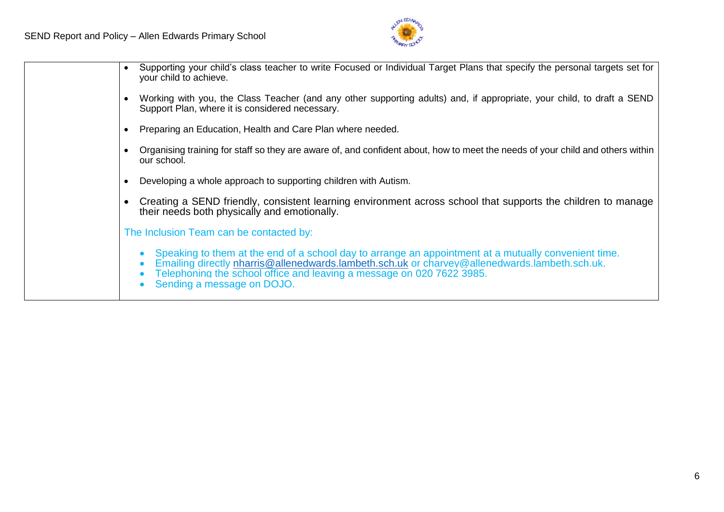

| Supporting your child's class teacher to write Focused or Individual Target Plans that specify the personal targets set for<br>your child to achieve.                                                                                                                                                        |
|--------------------------------------------------------------------------------------------------------------------------------------------------------------------------------------------------------------------------------------------------------------------------------------------------------------|
| Working with you, the Class Teacher (and any other supporting adults) and, if appropriate, your child, to draft a SEND<br>Support Plan, where it is considered necessary.                                                                                                                                    |
| Preparing an Education, Health and Care Plan where needed.                                                                                                                                                                                                                                                   |
| Organising training for staff so they are aware of, and confident about, how to meet the needs of your child and others within<br>our school.                                                                                                                                                                |
| Developing a whole approach to supporting children with Autism.                                                                                                                                                                                                                                              |
| Creating a SEND friendly, consistent learning environment across school that supports the children to manage<br>their needs both physically and emotionally.                                                                                                                                                 |
| The Inclusion Team can be contacted by:                                                                                                                                                                                                                                                                      |
| Speaking to them at the end of a school day to arrange an appointment at a mutually convenient time.<br>Emailing directly nharris@allenedwards.lambeth.sch.uk or charvey@allenedwards.lambeth.sch.uk.<br>Telephoning the school office and leaving a message on 020 7622 3985.<br>Sending a message on DOJO. |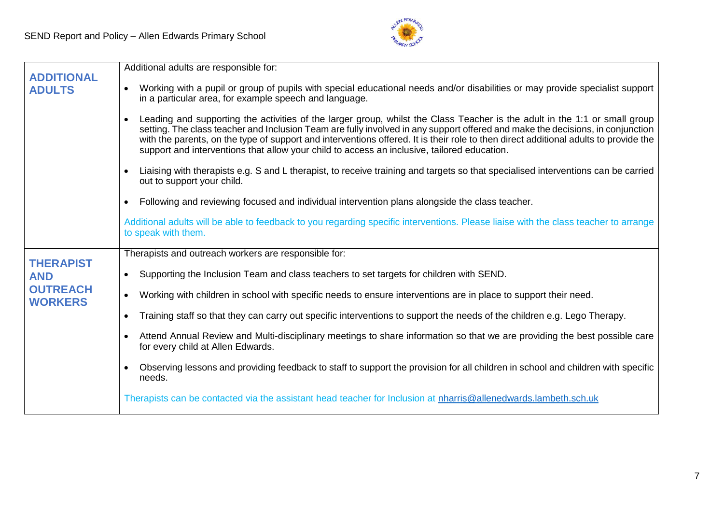

| <b>ADDITIONAL</b>                 | Additional adults are responsible for:                                                                                                                                                                                                                                                                                                                                                                                                                                                              |
|-----------------------------------|-----------------------------------------------------------------------------------------------------------------------------------------------------------------------------------------------------------------------------------------------------------------------------------------------------------------------------------------------------------------------------------------------------------------------------------------------------------------------------------------------------|
| <b>ADULTS</b>                     | Working with a pupil or group of pupils with special educational needs and/or disabilities or may provide specialist support<br>in a particular area, for example speech and language.                                                                                                                                                                                                                                                                                                              |
|                                   | Leading and supporting the activities of the larger group, whilst the Class Teacher is the adult in the 1:1 or small group<br>setting. The class teacher and Inclusion Team are fully involved in any support offered and make the decisions, in conjunction<br>with the parents, on the type of support and interventions offered. It is their role to then direct additional adults to provide the<br>support and interventions that allow your child to access an inclusive, tailored education. |
|                                   | Liaising with therapists e.g. S and L therapist, to receive training and targets so that specialised interventions can be carried<br>out to support your child.                                                                                                                                                                                                                                                                                                                                     |
|                                   | Following and reviewing focused and individual intervention plans alongside the class teacher.                                                                                                                                                                                                                                                                                                                                                                                                      |
|                                   | Additional adults will be able to feedback to you regarding specific interventions. Please liaise with the class teacher to arrange<br>to speak with them.                                                                                                                                                                                                                                                                                                                                          |
| <b>THERAPIST</b>                  | Therapists and outreach workers are responsible for:                                                                                                                                                                                                                                                                                                                                                                                                                                                |
| <b>AND</b>                        | Supporting the Inclusion Team and class teachers to set targets for children with SEND.                                                                                                                                                                                                                                                                                                                                                                                                             |
| <b>OUTREACH</b><br><b>WORKERS</b> | Working with children in school with specific needs to ensure interventions are in place to support their need.<br>$\bullet$                                                                                                                                                                                                                                                                                                                                                                        |
|                                   | Training staff so that they can carry out specific interventions to support the needs of the children e.g. Lego Therapy.                                                                                                                                                                                                                                                                                                                                                                            |
|                                   | Attend Annual Review and Multi-disciplinary meetings to share information so that we are providing the best possible care<br>for every child at Allen Edwards.                                                                                                                                                                                                                                                                                                                                      |
|                                   | Observing lessons and providing feedback to staff to support the provision for all children in school and children with specific<br>needs.                                                                                                                                                                                                                                                                                                                                                          |
|                                   | Therapists can be contacted via the assistant head teacher for Inclusion at nharris@allenedwards.lambeth.sch.uk                                                                                                                                                                                                                                                                                                                                                                                     |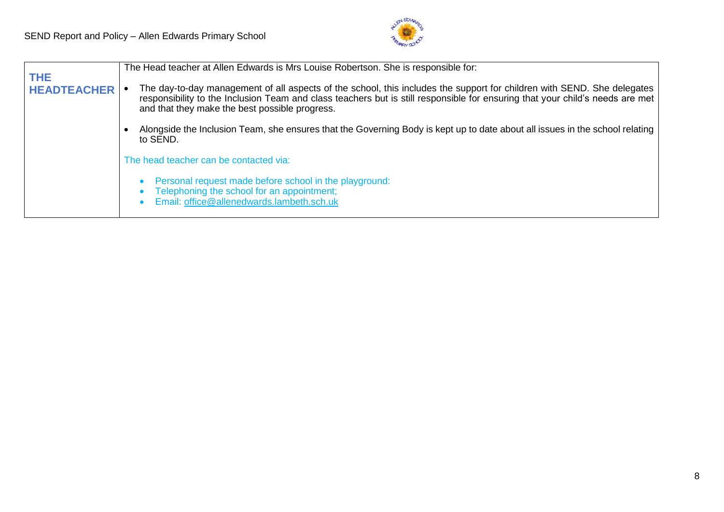

|                                  | The Head teacher at Allen Edwards is Mrs Louise Robertson. She is responsible for:                                                                                                                                                                                                                         |  |
|----------------------------------|------------------------------------------------------------------------------------------------------------------------------------------------------------------------------------------------------------------------------------------------------------------------------------------------------------|--|
| <b>THE</b><br><b>HEADTEACHER</b> | The day-to-day management of all aspects of the school, this includes the support for children with SEND. She delegates<br>responsibility to the Inclusion Team and class teachers but is still responsible for ensuring that your child's needs are met<br>and that they make the best possible progress. |  |
|                                  | Alongside the Inclusion Team, she ensures that the Governing Body is kept up to date about all issues in the school relating<br>to SEND.                                                                                                                                                                   |  |
|                                  | The head teacher can be contacted via:                                                                                                                                                                                                                                                                     |  |
|                                  | Personal request made before school in the playground:<br>Telephoning the school for an appointment;<br>Email: office@allenedwards.lambeth.sch.uk                                                                                                                                                          |  |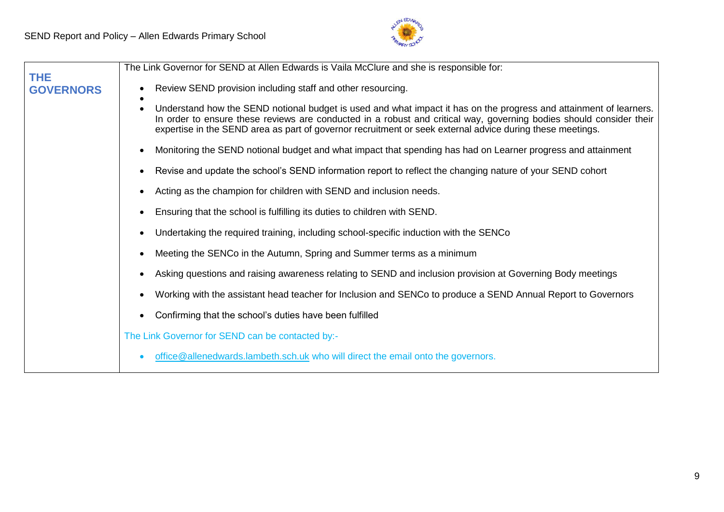

|                                | The Link Governor for SEND at Allen Edwards is Vaila McClure and she is responsible for:                                                                                                                                                                                                                                                               |
|--------------------------------|--------------------------------------------------------------------------------------------------------------------------------------------------------------------------------------------------------------------------------------------------------------------------------------------------------------------------------------------------------|
| <b>THE</b><br><b>GOVERNORS</b> | Review SEND provision including staff and other resourcing.                                                                                                                                                                                                                                                                                            |
|                                | Understand how the SEND notional budget is used and what impact it has on the progress and attainment of learners.<br>In order to ensure these reviews are conducted in a robust and critical way, governing bodies should consider their<br>expertise in the SEND area as part of governor recruitment or seek external advice during these meetings. |
|                                | Monitoring the SEND notional budget and what impact that spending has had on Learner progress and attainment                                                                                                                                                                                                                                           |
|                                | Revise and update the school's SEND information report to reflect the changing nature of your SEND cohort                                                                                                                                                                                                                                              |
|                                | Acting as the champion for children with SEND and inclusion needs.                                                                                                                                                                                                                                                                                     |
|                                | Ensuring that the school is fulfilling its duties to children with SEND.                                                                                                                                                                                                                                                                               |
|                                | Undertaking the required training, including school-specific induction with the SENCo                                                                                                                                                                                                                                                                  |
|                                | Meeting the SENCo in the Autumn, Spring and Summer terms as a minimum                                                                                                                                                                                                                                                                                  |
|                                | Asking questions and raising awareness relating to SEND and inclusion provision at Governing Body meetings                                                                                                                                                                                                                                             |
|                                | Working with the assistant head teacher for Inclusion and SENCo to produce a SEND Annual Report to Governors                                                                                                                                                                                                                                           |
|                                | Confirming that the school's duties have been fulfilled                                                                                                                                                                                                                                                                                                |
|                                | The Link Governor for SEND can be contacted by:-                                                                                                                                                                                                                                                                                                       |
|                                | office@allenedwards.lambeth.sch.uk who will direct the email onto the governors.                                                                                                                                                                                                                                                                       |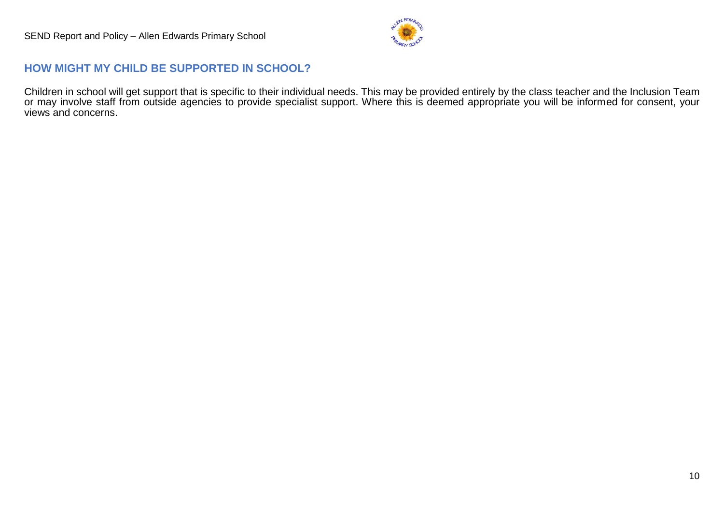

## **HOW MIGHT MY CHILD BE SUPPORTED IN SCHOOL?**

Children in school will get support that is specific to their individual needs. This may be provided entirely by the class teacher and the Inclusion Team or may involve staff from outside agencies to provide specialist support. Where this is deemed appropriate you will be informed for consent, your views and concerns.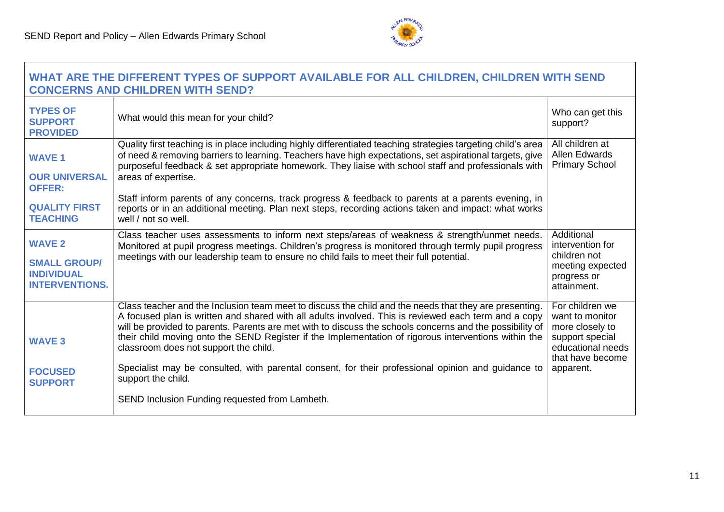

#### **WHAT ARE THE DIFFERENT TYPES OF SUPPORT AVAILABLE FOR ALL CHILDREN, CHILDREN WITH SEND CONCERNS AND CHILDREN WITH SEND?**  <u> 1980 - Johann Barn, mars ann an t-Amhain Aonaich an t-Aonaich an t-Aonaich ann an t-Aonaich ann an t-Aonaich</u>

| <b>TYPES OF</b><br><b>SUPPORT</b><br><b>PROVIDED</b>                                              | What would this mean for your child?                                                                                                                                                                                                                                                                                                                                                                                                                                                                                                                                                                                                                      | Who can get this<br>support?                                                                                                   |
|---------------------------------------------------------------------------------------------------|-----------------------------------------------------------------------------------------------------------------------------------------------------------------------------------------------------------------------------------------------------------------------------------------------------------------------------------------------------------------------------------------------------------------------------------------------------------------------------------------------------------------------------------------------------------------------------------------------------------------------------------------------------------|--------------------------------------------------------------------------------------------------------------------------------|
| <b>WAVE 1</b><br><b>OUR UNIVERSAL</b><br><b>OFFER:</b><br><b>QUALITY FIRST</b><br><b>TEACHING</b> | Quality first teaching is in place including highly differentiated teaching strategies targeting child's area<br>of need & removing barriers to learning. Teachers have high expectations, set aspirational targets, give<br>purposeful feedback & set appropriate homework. They liaise with school staff and professionals with<br>areas of expertise.<br>Staff inform parents of any concerns, track progress & feedback to parents at a parents evening, in<br>reports or in an additional meeting. Plan next steps, recording actions taken and impact: what works<br>well / not so well.                                                            | All children at<br><b>Allen Edwards</b><br><b>Primary School</b>                                                               |
| <b>WAVE 2</b><br><b>SMALL GROUP/</b><br><b>INDIVIDUAL</b><br><b>INTERVENTIONS.</b>                | Class teacher uses assessments to inform next steps/areas of weakness & strength/unmet needs.<br>Monitored at pupil progress meetings. Children's progress is monitored through termly pupil progress<br>meetings with our leadership team to ensure no child fails to meet their full potential.                                                                                                                                                                                                                                                                                                                                                         | Additional<br>intervention for<br>children not<br>meeting expected<br>progress or<br>attainment.                               |
| <b>WAVE 3</b><br><b>FOCUSED</b><br><b>SUPPORT</b>                                                 | Class teacher and the Inclusion team meet to discuss the child and the needs that they are presenting.<br>A focused plan is written and shared with all adults involved. This is reviewed each term and a copy<br>will be provided to parents. Parents are met with to discuss the schools concerns and the possibility of<br>their child moving onto the SEND Register if the Implementation of rigorous interventions within the<br>classroom does not support the child.<br>Specialist may be consulted, with parental consent, for their professional opinion and guidance to<br>support the child.<br>SEND Inclusion Funding requested from Lambeth. | For children we<br>want to monitor<br>more closely to<br>support special<br>educational needs<br>that have become<br>apparent. |
|                                                                                                   |                                                                                                                                                                                                                                                                                                                                                                                                                                                                                                                                                                                                                                                           |                                                                                                                                |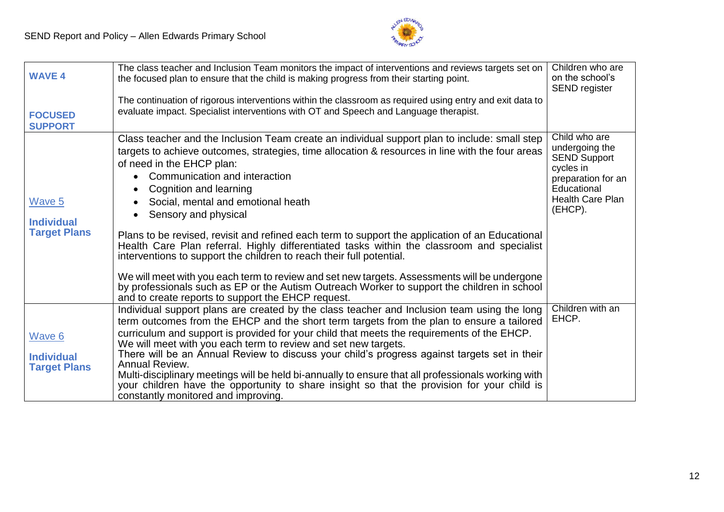

| <b>WAVE 4</b>                                      | The class teacher and Inclusion Team monitors the impact of interventions and reviews targets set on<br>the focused plan to ensure that the child is making progress from their starting point.                                                                                                                                                                                                                                                                                                                                                                                                                                                                                                                                                                                                                                                                                                      | Children who are<br>on the school's<br>SEND register                                                                                    |
|----------------------------------------------------|------------------------------------------------------------------------------------------------------------------------------------------------------------------------------------------------------------------------------------------------------------------------------------------------------------------------------------------------------------------------------------------------------------------------------------------------------------------------------------------------------------------------------------------------------------------------------------------------------------------------------------------------------------------------------------------------------------------------------------------------------------------------------------------------------------------------------------------------------------------------------------------------------|-----------------------------------------------------------------------------------------------------------------------------------------|
| <b>FOCUSED</b><br><b>SUPPORT</b>                   | The continuation of rigorous interventions within the classroom as required using entry and exit data to<br>evaluate impact. Specialist interventions with OT and Speech and Language therapist.                                                                                                                                                                                                                                                                                                                                                                                                                                                                                                                                                                                                                                                                                                     |                                                                                                                                         |
| Wave 5<br><b>Individual</b><br><b>Target Plans</b> | Class teacher and the Inclusion Team create an individual support plan to include: small step<br>targets to achieve outcomes, strategies, time allocation & resources in line with the four areas<br>of need in the EHCP plan:<br>• Communication and interaction<br>Cognition and learning<br>$\bullet$<br>Social, mental and emotional heath<br>Sensory and physical<br>Plans to be revised, revisit and refined each term to support the application of an Educational<br>Health Care Plan referral. Highly differentiated tasks within the classroom and specialist<br>interventions to support the children to reach their full potential.<br>We will meet with you each term to review and set new targets. Assessments will be undergone<br>by professionals such as EP or the Autism Outreach Worker to support the children in school<br>and to create reports to support the EHCP request. | Child who are<br>undergoing the<br><b>SEND Support</b><br>cycles in<br>preparation for an<br>Educational<br>Health Care Plan<br>(EHCP). |
| Wave 6<br><b>Individual</b><br><b>Target Plans</b> | Individual support plans are created by the class teacher and Inclusion team using the long<br>term outcomes from the EHCP and the short term targets from the plan to ensure a tailored<br>curriculum and support is provided for your child that meets the requirements of the EHCP.<br>We will meet with you each term to review and set new targets.<br>There will be an Annual Review to discuss your child's progress against targets set in their<br>Annual Review.<br>Multi-disciplinary meetings will be held bi-annually to ensure that all professionals working with<br>your children have the opportunity to share insight so that the provision for your child is<br>constantly monitored and improving.                                                                                                                                                                               | Children with an<br>EHCP.                                                                                                               |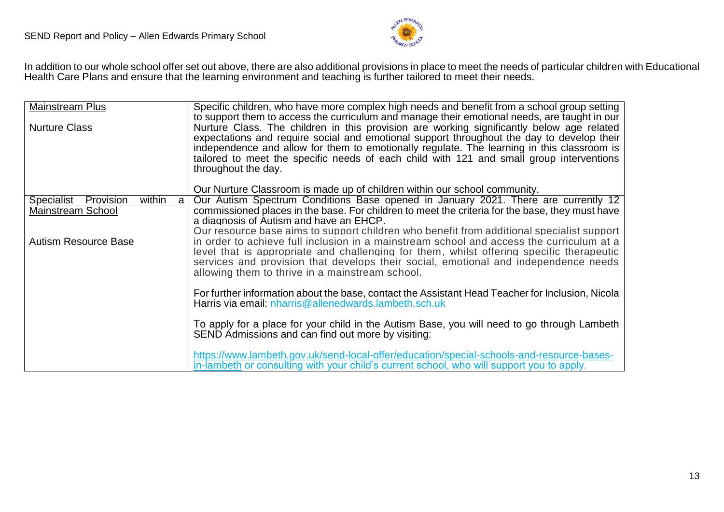

In addition to our whole school offer set out above, there are also additional provisions in place to meet the needs of particular children with Educational Health Care Plans and ensure that the learning environment and teaching is further tailored to meet their needs.

| Mainstream Plus                                                 | Specific children, who have more complex high needs and benefit from a school group setting                                                                                                                                                                                                                                                                                                                                                                                                             |
|-----------------------------------------------------------------|---------------------------------------------------------------------------------------------------------------------------------------------------------------------------------------------------------------------------------------------------------------------------------------------------------------------------------------------------------------------------------------------------------------------------------------------------------------------------------------------------------|
| <b>Nurture Class</b>                                            | to support them to access the curriculum and manage their emotional needs, are taught in our<br>Nurture Class. The children in this provision are working significantly below age related<br>expectations and require social and emotional support throughout the day to develop their<br>independence and allow for them to emotionally regulate. The learning in this classroom is<br>tailored to meet the specific needs of each child with 121 and small group interventions<br>throughout the day. |
|                                                                 | Our Nurture Classroom is made up of children within our school community.                                                                                                                                                                                                                                                                                                                                                                                                                               |
| Specialist Provision<br>within<br>a<br><b>Mainstream School</b> | Our Autism Spectrum Conditions Base opened in January 2021. There are currently 12<br>commissioned places in the base. For children to meet the criteria for the base, they must have<br>a diagnosis of Autism and have an EHCP.                                                                                                                                                                                                                                                                        |
| <b>Autism Resource Base</b>                                     | Our resource base aims to support children who benefit from additional specialist support<br>in order to achieve full inclusion in a mainstream school and access the curriculum at a<br>level that is appropriate and challenging for them, whilst offering specific therapeutic<br>services and provision that develops their social, emotional and independence needs<br>allowing them to thrive in a mainstream school.                                                                             |
|                                                                 | For further information about the base, contact the Assistant Head Teacher for Inclusion, Nicola<br>Harris via email: nharris@allenedwards.lambeth.sch.uk                                                                                                                                                                                                                                                                                                                                               |
|                                                                 | To apply for a place for your child in the Autism Base, you will need to go through Lambeth<br>SEND Admissions and can find out more by visiting:                                                                                                                                                                                                                                                                                                                                                       |
|                                                                 | https://www.lambeth.gov.uk/send-local-offer/education/special-schools-and-resource-bases-<br>in-lambeth or consulting with your child's current school, who will support you to apply.                                                                                                                                                                                                                                                                                                                  |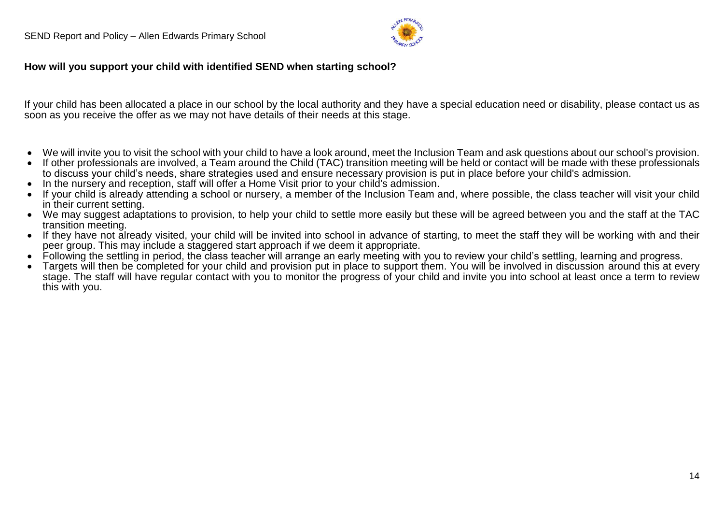

#### **How will you support your child with identified SEND when starting school?**

If your child has been allocated a place in our school by the local authority and they have a special education need or disability, please contact us as soon as you receive the offer as we may not have details of their needs at this stage.

- We will invite you to visit the school with your child to have a look around, meet the Inclusion Team and ask questions about our school's provision.
- If other professionals are involved, a Team around the Child (TAC) transition meeting will be held or contact will be made with these professionals to discuss your child's needs, share strategies used and ensure necessary provision is put in place before your child's admission.
- In the nursery and reception, staff will offer a Home Visit prior to your child's admission.
- If your child is already attending a school or nursery, a member of the Inclusion Team and, where possible, the class teacher will visit your child in their current setting.
- We may suggest adaptations to provision, to help your child to settle more easily but these will be agreed between you and the staff at the TAC transition meeting.
- If they have not already visited, your child will be invited into school in advance of starting, to meet the staff they will be working with and their peer group. This may include a staggered start approach if we deem it appropriate.
- Following the settling in period, the class teacher will arrange an early meeting with you to review your child's settling, learning and progress.
- Targets will then be completed for your child and provision put in place to support them. You will be involved in discussion around this at every stage. The staff will have regular contact with you to monitor the progress of your child and invite you into school at least once a term to review this with you.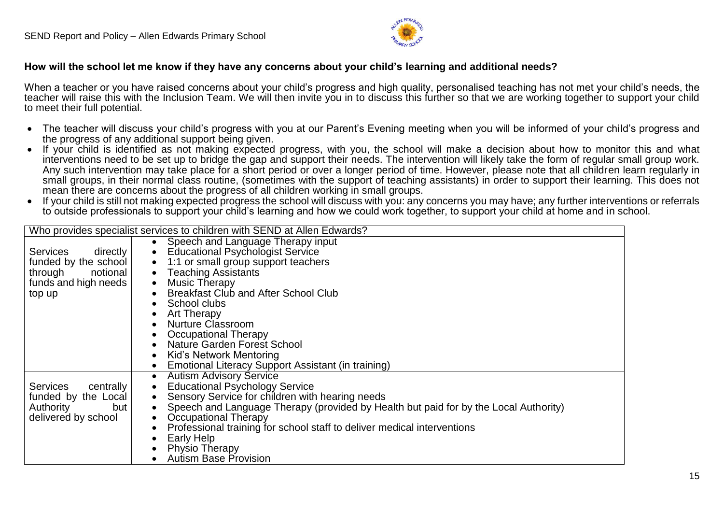

#### **How will the school let me know if they have any concerns about your child's learning and additional needs?**

When a teacher or you have raised concerns about your child's progress and high quality, personalised teaching has not met your child's needs, the teacher will raise this with the Inclusion Team. We will then invite you in to discuss this further so that we are working together to support your child to meet their full potential.

- The teacher will discuss vour child's progress with you at our Parent's Evening meeting when you will be informed of your child's progress and the progress of any additional support being given.
- If your child is identified as not making expected progress, with you, the school will make a decision about how to monitor this and what interventions need to be set up to bridge the gap and support their needs. The intervention will likely take the form of regular small group work. Any such intervention may take place for a short period or over a longer period of time. However, please note that all children learn regularly in small groups, in their normal class routine, (sometimes with the support of teaching assistants) in order to support their learning. This does not mean there are concerns about the progress of all children working in small groups.
- If your child is still not making expected progress the school will discuss with you: any concerns you may have; any further interventions or referrals to outside professionals to support your child's learning and how we could work together, to support your child at home and in school.

|                              | Who provides specialist services to children with SEND at Allen Edwards?                               |
|------------------------------|--------------------------------------------------------------------------------------------------------|
|                              | Speech and Language Therapy input                                                                      |
| <b>Services</b><br>directly  | <b>Educational Psychologist Service</b><br>$\bullet$                                                   |
| funded by the school         | 1:1 or small group support teachers<br>$\bullet$                                                       |
| notional<br>through          | • Teaching Assistants                                                                                  |
| funds and high needs         | <b>Music Therapy</b><br>$\bullet$                                                                      |
| top up                       | <b>Breakfast Club and After School Club</b>                                                            |
|                              | School clubs                                                                                           |
|                              | Art Therapy                                                                                            |
|                              | <b>Nurture Classroom</b>                                                                               |
|                              | Occupational Therapy                                                                                   |
|                              | <b>Nature Garden Forest School</b>                                                                     |
|                              | Kid's Network Mentoring                                                                                |
|                              | Emotional Literacy Support Assistant (in training)                                                     |
|                              | <b>Autism Advisory Service</b><br>$\bullet$                                                            |
| <b>Services</b><br>centrally | <b>Educational Psychology Service</b><br>$\bullet$                                                     |
| funded by the Local          | Sensory Service for children with hearing needs<br>$\bullet$                                           |
| but<br>Authority             | Speech and Language Therapy (provided by Health but paid for by the Local Authority)<br>$\bullet$      |
| delivered by school          | <b>Occupational Therapy</b><br>Professional training for school staff to deliver medical interventions |
|                              | Early Help                                                                                             |
|                              | Physio Therapy                                                                                         |
|                              | <b>Autism Base Provision</b>                                                                           |
|                              |                                                                                                        |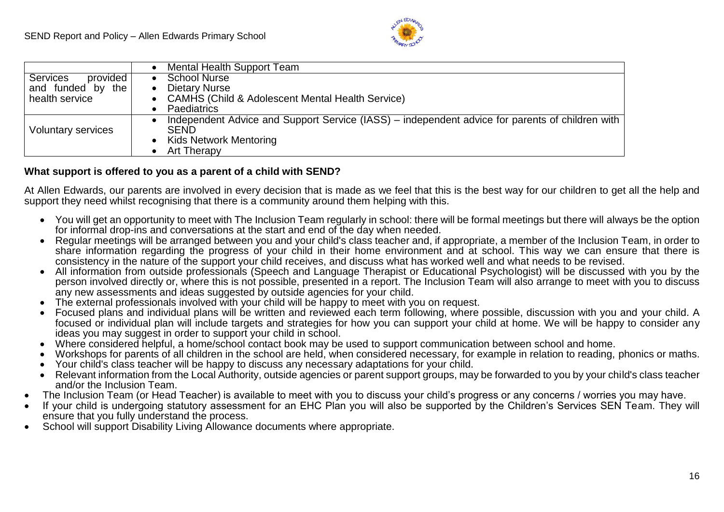

|                             | Mental Health Support Team                                                                      |
|-----------------------------|-------------------------------------------------------------------------------------------------|
| <b>Services</b><br>provided | <b>School Nurse</b>                                                                             |
| and funded by the           | <b>Dietary Nurse</b>                                                                            |
| health service              | <b>CAMHS (Child &amp; Adolescent Mental Health Service)</b>                                     |
|                             | Paediatrics                                                                                     |
|                             | Independent Advice and Support Service (IASS) – independent advice for parents of children with |
| Voluntary services          | <b>SEND</b>                                                                                     |
|                             | <b>Kids Network Mentoring</b>                                                                   |
|                             | Art Therapy                                                                                     |

#### **What support is offered to you as a parent of a child with SEND?**

At Allen Edwards, our parents are involved in every decision that is made as we feel that this is the best way for our children to get all the help and support they need whilst recognising that there is a community around them helping with this.

- You will get an opportunity to meet with The Inclusion Team regularly in school: there will be formal meetings but there will always be the option for informal drop-ins and conversations at the start and end of the day when needed.
- Regular meetings will be arranged between you and your child's class teacher and, if appropriate, a member of the Inclusion Team, in order to share information regarding the progress of your child in their home environment and at school. This way we can ensure that there is consistency in the nature of the support your child receives, and discuss what has worked well and what needs to be revised.
- All information from outside professionals (Speech and Language Therapist or Educational Psychologist) will be discussed with you by the person involved directly or, where this is not possible, presented in a report. The Inclusion Team will also arrange to meet with you to discuss any new assessments and ideas suggested by outside agencies for your child.
- The external professionals involved with your child will be happy to meet with you on request.
- Focused plans and individual plans will be written and reviewed each term following, where possible, discussion with you and your child. A focused or individual plan will include targets and strategies for how you can support your child at home. We will be happy to consider any ideas you may suggest in order to support your child in school.
- Where considered helpful, a home/school contact book may be used to support communication between school and home.
- Workshops for parents of all children in the school are held, when considered necessary, for example in relation to reading, phonics or maths.
- Your child's class teacher will be happy to discuss any necessary adaptations for your child.
- Relevant information from the Local Authority, outside agencies or parent support groups, may be forwarded to you by your child's class teacher and/or the Inclusion Team.
- The Inclusion Team (or Head Teacher) is available to meet with you to discuss your child's progress or any concerns / worries you may have.
- If your child is undergoing statutory assessment for an EHC Plan you will also be supported by the Children's Services SEN Team. They will ensure that you fully understand the process.
- School will support Disability Living Allowance documents where appropriate.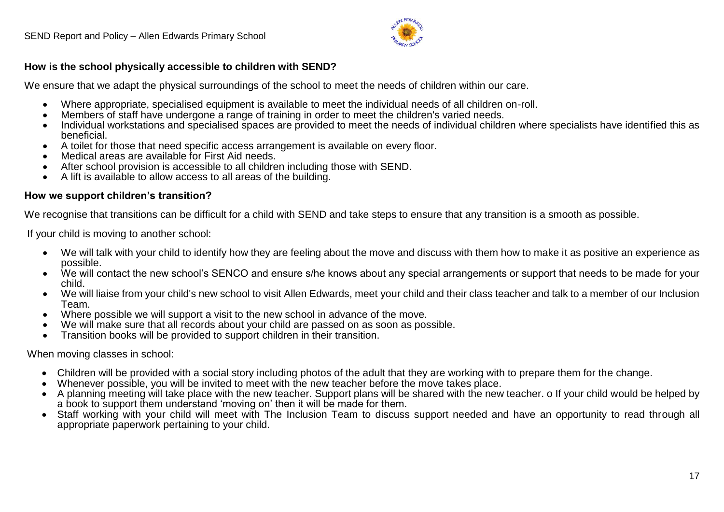

#### **How is the school physically accessible to children with SEND?**

We ensure that we adapt the physical surroundings of the school to meet the needs of children within our care.

- Where appropriate, specialised equipment is available to meet the individual needs of all children on-roll.
- Members of staff have undergone a range of training in order to meet the children's varied needs.
- Individual workstations and specialised spaces are provided to meet the needs of individual children where specialists have identified this as beneficial.
- A toilet for those that need specific access arrangement is available on every floor.
- Medical areas are available for First Aid needs.
- After school provision is accessible to all children including those with SEND.
- A lift is available to allow access to all areas of the building.

#### **How we support children's transition?**

We recognise that transitions can be difficult for a child with SEND and take steps to ensure that any transition is a smooth as possible.

If your child is moving to another school:

- We will talk with your child to identify how they are feeling about the move and discuss with them how to make it as positive an experience as possible.
- We will contact the new school's SENCO and ensure s/he knows about any special arrangements or support that needs to be made for your child.
- We will liaise from your child's new school to visit Allen Edwards, meet your child and their class teacher and talk to a member of our Inclusion Team.
- Where possible we will support a visit to the new school in advance of the move.
- We will make sure that all records about your child are passed on as soon as possible.
- $\bullet$  Transition books will be provided to support children in their transition.

When moving classes in school:

- Children will be provided with a social story including photos of the adult that they are working with to prepare them for the change.
- Whenever possible, you will be invited to meet with the new teacher before the move takes place.
- A planning meeting will take place with the new teacher. Support plans will be shared with the new teacher. o If your child would be helped by a book to support them understand 'moving on' then it will be made for them.
- Staff working with your child will meet with The Inclusion Team to discuss support needed and have an opportunity to read through all appropriate paperwork pertaining to your child.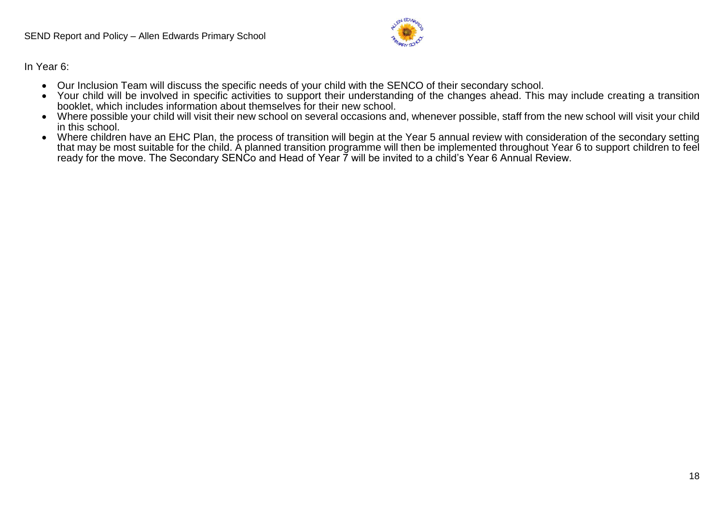

In Year 6:

- Our Inclusion Team will discuss the specific needs of your child with the SENCO of their secondary school.
- Your child will be involved in specific activities to support their understanding of the changes ahead. This may include creating a transition booklet, which includes information about themselves for their new school.
- Where possible your child will visit their new school on several occasions and, whenever possible, staff from the new school will visit your child in this school.
- Where children have an EHC Plan, the process of transition will begin at the Year 5 annual review with consideration of the secondary setting that may be most suitable for the child. A planned transition programme will then be implemented throughout Year 6 to support children to feel ready for the move. The Secondary SENCo and Head of Year 7 will be invited to a child's Year 6 Annual Review.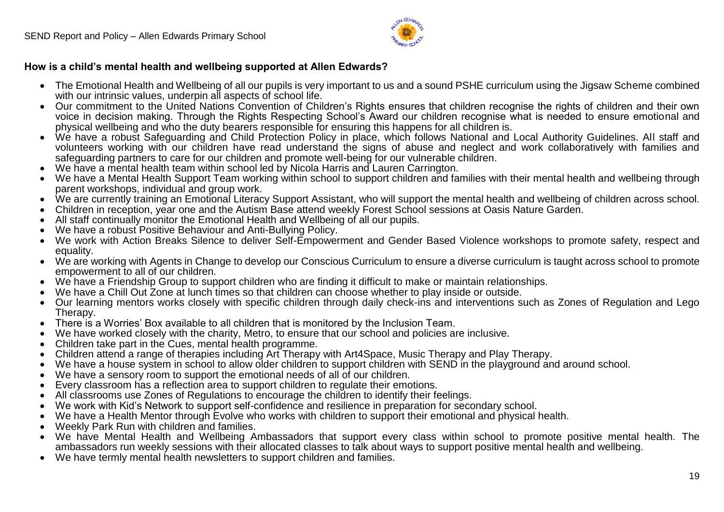

#### **How is a child's mental health and wellbeing supported at Allen Edwards?**

- The Emotional Health and Wellbeing of all our pupils is very important to us and a sound PSHE curriculum using the Jigsaw Scheme combined with our intrinsic values, underpin all aspects of school life.
- Our commitment to the United Nations Convention of Children's Rights ensures that children recognise the rights of children and their own voice in decision making. Through the Rights Respecting School's Award our children recognise what is needed to ensure emotional and physical wellbeing and who the duty bearers responsible for ensuring this happens for all children is.
- We have a robust Safeguarding and Child Protection Policy in place, which follows National and Local Authority Guidelines. All staff and volunteers working with our children have read understand the signs of abuse and neglect and work collaboratively with families and safeguarding partners to care for our children and promote well-being for our vulnerable children.
- We have a mental health team within school led by Nicola Harris and Lauren Carrington.
- We have a Mental Health Support Team working within school to support children and families with their mental health and wellbeing through parent workshops, individual and group work.
- We are currently training an Emotional Literacy Support Assistant, who will support the mental health and wellbeing of children across school.
- Children in reception, year one and the Autism Base attend weekly Forest School sessions at Oasis Nature Garden.
- All staff continually monitor the Emotional Health and Wellbeing of all our pupils.
- We have a robust Positive Behaviour and Anti-Bullying Policy.
- We work with Action Breaks Silence to deliver Self-Empowerment and Gender Based Violence workshops to promote safety, respect and equality.
- We are working with Agents in Change to develop our Conscious Curriculum to ensure a diverse curriculum is taught across school to promote empowerment to all of our children.
- We have a Friendship Group to support children who are finding it difficult to make or maintain relationships.
- We have a Chill Out Zone at lunch times so that children can choose whether to play inside or outside.
- Our learning mentors works closely with specific children through daily check-ins and interventions such as Zones of Regulation and Lego Therapy.
- There is a Worries' Box available to all children that is monitored by the Inclusion Team.
- We have worked closely with the charity, Metro, to ensure that our school and policies are inclusive.
- Children take part in the Cues, mental health programme.
- Children attend a range of therapies including Art Therapy with Art4Space, Music Therapy and Play Therapy.
- We have a house system in school to allow older children to support children with SEND in the playground and around school.
- We have a sensory room to support the emotional needs of all of our children.
- Every classroom has a reflection area to support children to regulate their emotions.
- All classrooms use Zones of Regulations to encourage the children to identify their feelings.
- We work with Kid's Network to support self-confidence and resilience in preparation for secondary school.
- We have a Health Mentor through Evolve who works with children to support their emotional and physical health.
- Weekly Park Run with children and families.
- We have Mental Health and Wellbeing Ambassadors that support every class within school to promote positive mental health. The ambassadors run weekly sessions with their allocated classes to talk about ways to support positive mental health and wellbeing.
- We have termly mental health newsletters to support children and families.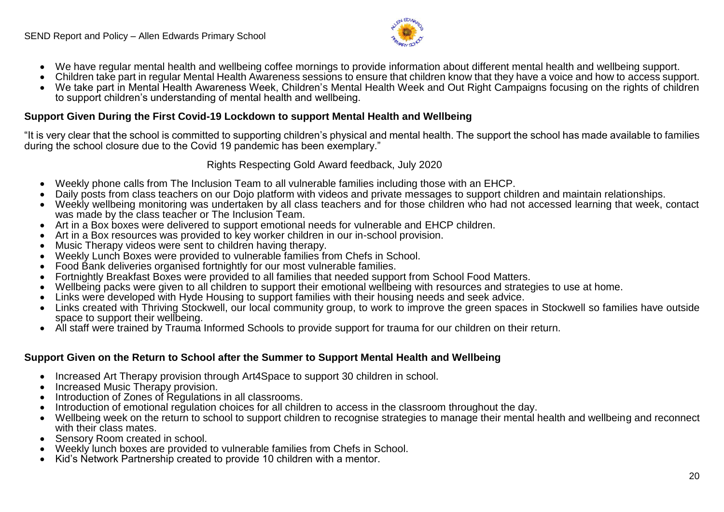

- We have regular mental health and wellbeing coffee mornings to provide information about different mental health and wellbeing support.
- Children take part in regular Mental Health Awareness sessions to ensure that children know that they have a voice and how to access support.
- We take part in Mental Health Awareness Week, Children's Mental Health Week and Out Right Campaigns focusing on the rights of children to support children's understanding of mental health and wellbeing.

#### **Support Given During the First Covid-19 Lockdown to support Mental Health and Wellbeing**

"It is very clear that the school is committed to supporting children's physical and mental health. The support the school has made available to families during the school closure due to the Covid 19 pandemic has been exemplary."

Rights Respecting Gold Award feedback, July 2020

- Weekly phone calls from The Inclusion Team to all vulnerable families including those with an EHCP.
- Daily posts from class teachers on our Dojo platform with videos and private messages to support children and maintain relationships.
- Weekly wellbeing monitoring was undertaken by all class teachers and for those children who had not accessed learning that week, contact was made by the class teacher or The Inclusion Team.
- Art in a Box boxes were delivered to support emotional needs for vulnerable and EHCP children.
- Art in a Box resources was provided to key worker children in our in-school provision.
- Music Therapy videos were sent to children having therapy.
- Weekly Lunch Boxes were provided to vulnerable families from Chefs in School.
- Food Bank deliveries organised fortnightly for our most vulnerable families.
- Fortnightly Breakfast Boxes were provided to all families that needed support from School Food Matters.
- Wellbeing packs were given to all children to support their emotional wellbeing with resources and strategies to use at home.
- Links were developed with Hyde Housing to support families with their housing needs and seek advice.
- Links created with Thriving Stockwell, our local community group, to work to improve the green spaces in Stockwell so families have outside space to support their wellbeing.
- All staff were trained by Trauma Informed Schools to provide support for trauma for our children on their return.

#### **Support Given on the Return to School after the Summer to Support Mental Health and Wellbeing**

- Increased Art Therapy provision through Art4Space to support 30 children in school.
- Increased Music Therapy provision.
- Introduction of Zones of Regulations in all classrooms.
- Introduction of emotional regulation choices for all children to access in the classroom throughout the day.
- Wellbeing week on the return to school to support children to recognise strategies to manage their mental health and wellbeing and reconnect with their class mates.
- Sensory Room created in school.
- Weekly lunch boxes are provided to vulnerable families from Chefs in School.
- Kid's Network Partnership created to provide 10 children with a mentor.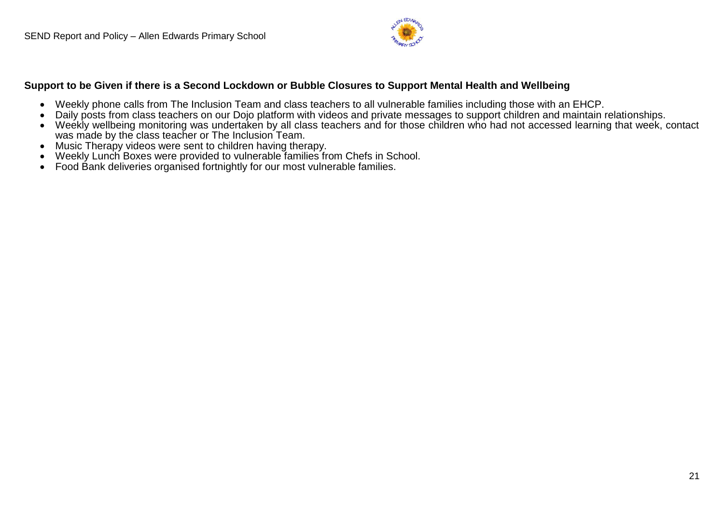

#### **Support to be Given if there is a Second Lockdown or Bubble Closures to Support Mental Health and Wellbeing**

- Weekly phone calls from The Inclusion Team and class teachers to all vulnerable families including those with an EHCP.
- Daily posts from class teachers on our Dojo platform with videos and private messages to support children and maintain relationships.
- Weekly wellbeing monitoring was undertaken by all class teachers and for those children who had not accessed learning that week, contact was made by the class teacher or The Inclusion Team.
- Music Therapy videos were sent to children having therapy.
- Weekly Lunch Boxes were provided to vulnerable families from Chefs in School.
- Food Bank deliveries organised fortnightly for our most vulnerable families.